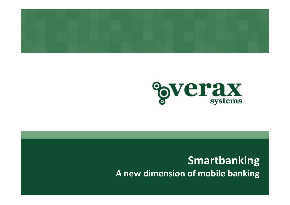



#### **Smartbanking A new dimension of mobile banking**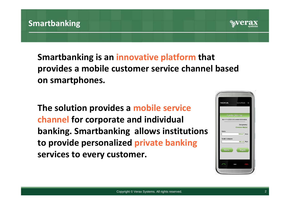

**Smartbanking is an innovative platform that provides <sup>a</sup> mobile customer service channel based on smartphones.**

**The solution provides <sup>a</sup> mobile service channel for corporate and individual banking. Smartbanking allows institutions to provide personalized private banking services to every customer.**

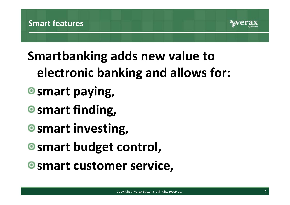

# **Smartbanking adds new value to electronic banking and allows for:**

- **smart paying,**
- **smart finding,**
- **smart investing,**
- **smart budget control,**
- **smart customer service,**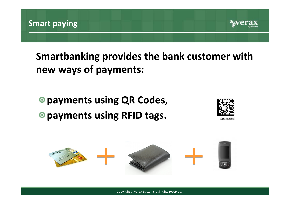

**Smartbanking provides the bank customer with new ways of payments:**

## **payments using QR Codes, payments using RFID tags.**



54197024990

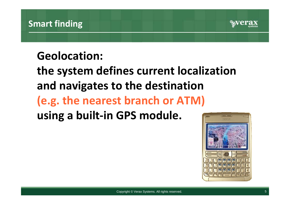

### **Geolocation:**

**the system defines current localization and navigates to the destination (e.g. the nearest branch or ATM) using <sup>a</sup> built‐in GPS module.**

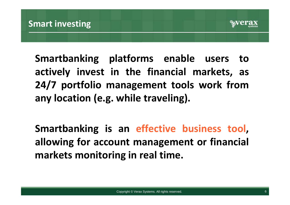

**Smartbanking platforms enable users to actively invest in the financial markets, as 24/7 portfolio management tools work from any location (e.g. while traveling).**

**Smartbanking is an effective business tool, allowing for account management or financial markets monitoring in real time.**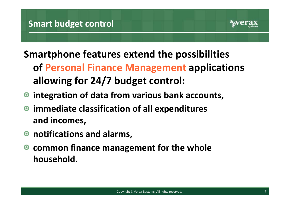

- **Smartphone features extend the possibilities of Personal Finance Management applications allowing for 24/7 budget control:**
- **integration of data from various bank accounts,**
- **immediate classification of all expenditures and incomes,**
- **notifications and alarms,**
- **common finance management for the whole household.**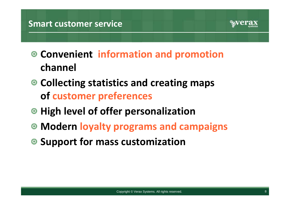

- **Convenient information and promotion channel**
- **Collecting statistics and creating maps of customer preferences**
- **High level of offer personalization**
- **Modern loyalty programs and campaigns**
- **Support for mass customization**